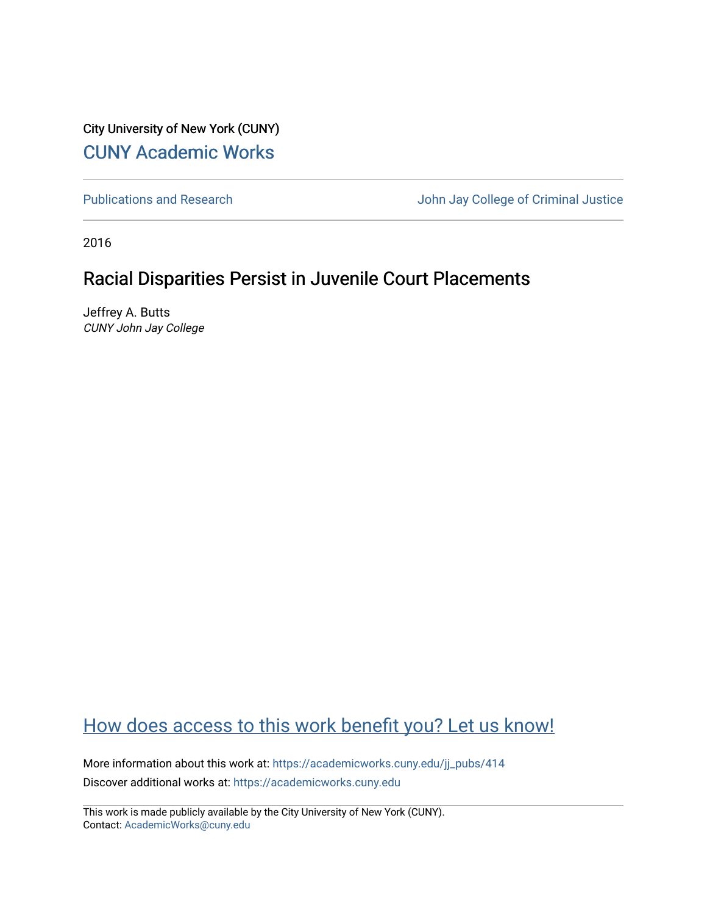City University of New York (CUNY) [CUNY Academic Works](https://academicworks.cuny.edu/) 

[Publications and Research](https://academicworks.cuny.edu/jj_pubs) **Value 2018** John Jay College of Criminal Justice

2016

## Racial Disparities Persist in Juvenile Court Placements

Jeffrey A. Butts CUNY John Jay College

## [How does access to this work benefit you? Let us know!](http://ols.cuny.edu/academicworks/?ref=https://academicworks.cuny.edu/jj_pubs/414)

More information about this work at: [https://academicworks.cuny.edu/jj\\_pubs/414](https://academicworks.cuny.edu/jj_pubs/414) Discover additional works at: [https://academicworks.cuny.edu](https://academicworks.cuny.edu/?)

This work is made publicly available by the City University of New York (CUNY). Contact: [AcademicWorks@cuny.edu](mailto:AcademicWorks@cuny.edu)